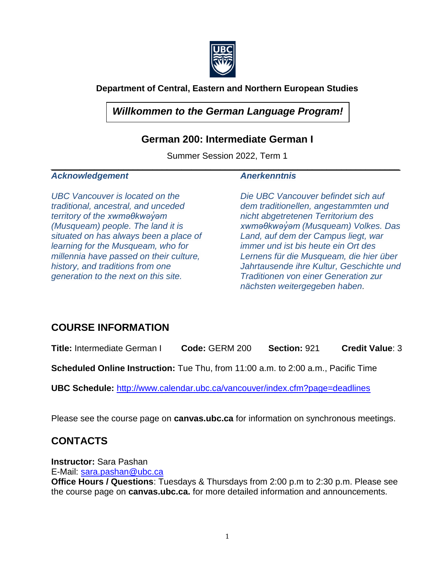

### **Department of Central, Eastern and Northern European Studies**

## *Willkommen to the German Language Program!*

### **German 200: Intermediate German I**

Summer Session 2022, Term 1 *\_\_\_\_\_\_\_\_\_\_\_\_\_\_\_\_\_\_\_\_\_\_\_\_\_\_\_\_\_\_\_\_\_\_\_\_\_\_\_\_\_\_\_\_\_\_\_\_\_\_\_\_\_\_\_\_\_\_\_\_\_\_\_\_\_\_\_\_\_\_\_\_*

#### *Acknowledgement*

*UBC Vancouver is located on the traditional, ancestral, and unceded territory of the xwməθkwəy̓əm (Musqueam) people. The land it is situated on has always been a place of learning for the Musqueam, who for millennia have passed on their culture, history, and traditions from one generation to the next on this site.*

#### *Anerkenntnis*

*Die UBC Vancouver befindet sich auf dem traditionellen, angestammten und nicht abgetretenen Territorium des xwməθkwəy̓əm (Musqueam) Volkes. Das Land, auf dem der Campus liegt, war immer und ist bis heute ein Ort des Lernens für die Musqueam, die hier über Jahrtausende ihre Kultur, Geschichte und Traditionen von einer Generation zur nächsten weitergegeben haben.*

## **COURSE INFORMATION**

**Title:** Intermediate German I **Code:** GERM 200 **Section:** 921 **Credit Value**: 3

**Scheduled Online Instruction:** Tue Thu, from 11:00 a.m. to 2:00 a.m., Pacific Time

**UBC Schedule:** <http://www.calendar.ubc.ca/vancouver/index.cfm?page=deadlines>

Please see the course page on **canvas.ubc.ca** for information on synchronous meetings.

## **CONTACTS**

**Instructor:** Sara Pashan E-Mail: [sara.pashan@ubc.ca](mailto:sara.pashan@ubc.ca)

**Office Hours / Questions**: Tuesdays & Thursdays from 2:00 p.m to 2:30 p.m. Please see the course page on **canvas.ubc.ca.** for more detailed information and announcements.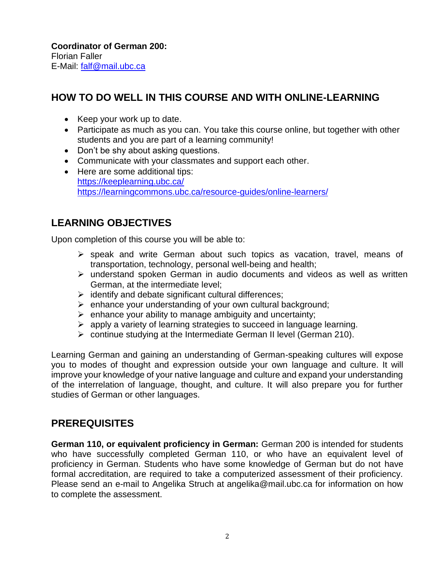**Coordinator of German 200:**  Florian Faller E-Mail: [falf@mail.ubc.ca](mailto:falf@mail.ubc.ca)

## **HOW TO DO WELL IN THIS COURSE AND WITH ONLINE-LEARNING**

- Keep your work up to date.
- Participate as much as you can. You take this course online, but together with other students and you are part of a learning community!
- Don't be shy about asking questions.
- Communicate with your classmates and support each other.
- Here are some additional tips: <https://keeplearning.ubc.ca/> <https://learningcommons.ubc.ca/resource-guides/online-learners/>

## **LEARNING OBJECTIVES**

Upon completion of this course you will be able to:

- ➢ speak and write German about such topics as vacation, travel, means of transportation, technology, personal well-being and health;
- ➢ understand spoken German in audio documents and videos as well as written German, at the intermediate level;
- $\triangleright$  identify and debate significant cultural differences;
- ➢ enhance your understanding of your own cultural background;
- $\triangleright$  enhance your ability to manage ambiguity and uncertainty;
- ➢ apply a variety of learning strategies to succeed in language learning.
- $\triangleright$  continue studying at the Intermediate German II level (German 210).

Learning German and gaining an understanding of German-speaking cultures will expose you to modes of thought and expression outside your own language and culture. It will improve your knowledge of your native language and culture and expand your understanding of the interrelation of language, thought, and culture. It will also prepare you for further studies of German or other languages.

## **PREREQUISITES**

**German 110, or equivalent proficiency in German:** German 200 is intended for students who have successfully completed German 110, or who have an equivalent level of proficiency in German. Students who have some knowledge of German but do not have formal accreditation, are required to take a computerized assessment of their proficiency. Please send an e-mail to Angelika Struch at angelika@mail.ubc.ca for information on how to complete the assessment.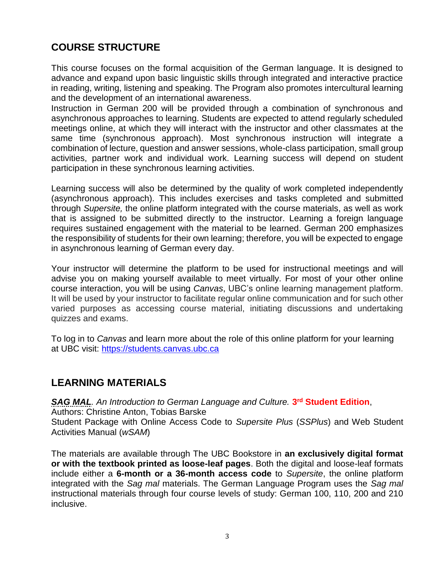# **COURSE STRUCTURE**

This course focuses on the formal acquisition of the German language. It is designed to advance and expand upon basic linguistic skills through integrated and interactive practice in reading, writing, listening and speaking. The Program also promotes intercultural learning and the development of an international awareness.

Instruction in German 200 will be provided through a combination of synchronous and asynchronous approaches to learning. Students are expected to attend regularly scheduled meetings online, at which they will interact with the instructor and other classmates at the same time (synchronous approach). Most synchronous instruction will integrate a combination of lecture, question and answer sessions, whole-class participation, small group activities, partner work and individual work. Learning success will depend on student participation in these synchronous learning activities.

Learning success will also be determined by the quality of work completed independently (asynchronous approach). This includes exercises and tasks completed and submitted through *Supersite,* the online platform integrated with the course materials, as well as work that is assigned to be submitted directly to the instructor. Learning a foreign language requires sustained engagement with the material to be learned. German 200 emphasizes the responsibility of students for their own learning; therefore, you will be expected to engage in asynchronous learning of German every day.

Your instructor will determine the platform to be used for instructional meetings and will advise you on making yourself available to meet virtually. For most of your other online course interaction, you will be using *Canvas*, UBC's online learning management platform. It will be used by your instructor to facilitate regular online communication and for such other varied purposes as accessing course material, initiating discussions and undertaking quizzes and exams.

To log in to *Canvas* and learn more about the role of this online platform for your learning at UBC visit: [https://students.canvas.ubc.ca](https://students.canvas.ubc.ca/)

## **LEARNING MATERIALS**

*SAG MAL. An Introduction to German Language and Culture.* **3 rd Student Edition**, Authors: Christine Anton, Tobias Barske Student Package with Online Access Code to *Supersite Plus* (*SSPlus*) and Web Student Activities Manual (*wSAM*)

The materials are available through The UBC Bookstore in **an exclusively digital format or with the textbook printed as loose-leaf pages**. Both the digital and loose-leaf formats include either a **6-month or a 36-month access code** to *Supersite*, the online platform integrated with the *Sag mal* materials. The German Language Program uses the *Sag mal* instructional materials through four course levels of study: German 100, 110, 200 and 210 inclusive.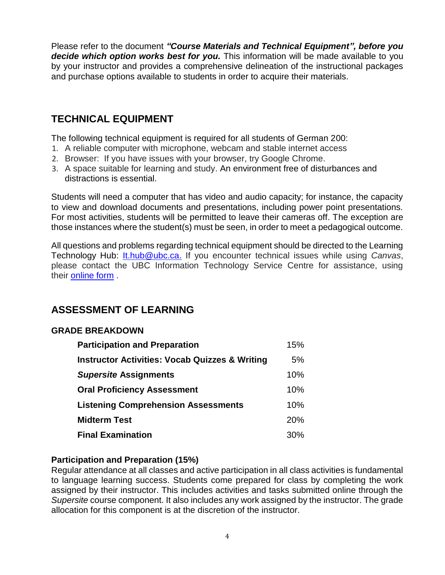Please refer to the document *"Course Materials and Technical Equipment", before you decide which option works best for you.* This information will be made available to you by your instructor and provides a comprehensive delineation of the instructional packages and purchase options available to students in order to acquire their materials.

# **TECHNICAL EQUIPMENT**

The following technical equipment is required for all students of German 200:

- 1. A reliable computer with microphone, webcam and stable internet access
- 2. Browser: If you have issues with your browser, try Google Chrome.
- 3. A space suitable for learning and study. An environment free of disturbances and distractions is essential.

Students will need a computer that has video and audio capacity; for instance, the capacity to view and download documents and presentations, including power point presentations. For most activities, students will be permitted to leave their cameras off. The exception are those instances where the student(s) must be seen, in order to meet a pedagogical outcome.

All questions and problems regarding technical equipment should be directed to the Learning Technology Hub: [It.hub@ubc.ca.](mailto:It.hub@ubc.ca) If you encounter technical issues while using *Canvas*, please contact the UBC Information Technology Service Centre for assistance, using their [online form](http://web.it.ubc.ca/forms/isf/) .

## **ASSESSMENT OF LEARNING**

#### **GRADE BREAKDOWN**

| <b>Participation and Preparation</b>                      | 15%        |
|-----------------------------------------------------------|------------|
| <b>Instructor Activities: Vocab Quizzes &amp; Writing</b> | 5%         |
| <b>Supersite Assignments</b>                              | 10%        |
| <b>Oral Proficiency Assessment</b>                        | 10%        |
| <b>Listening Comprehension Assessments</b>                | 10%        |
| <b>Midterm Test</b>                                       | <b>20%</b> |
| <b>Final Examination</b>                                  | 30%        |

### **Participation and Preparation (15%)**

Regular attendance at all classes and active participation in all class activities is fundamental to language learning success. Students come prepared for class by completing the work assigned by their instructor. This includes activities and tasks submitted online through the *Supersite* course component. It also includes any work assigned by the instructor. The grade allocation for this component is at the discretion of the instructor.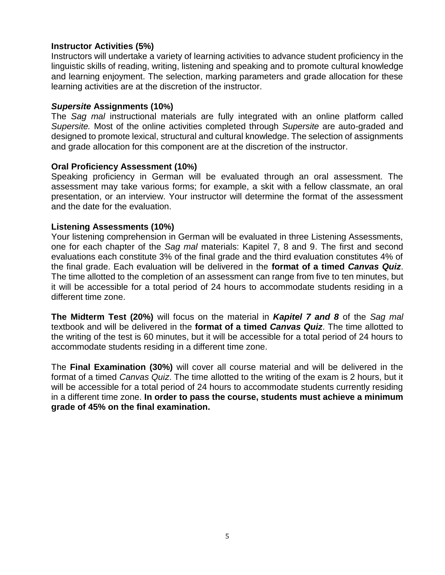#### **Instructor Activities (5%)**

Instructors will undertake a variety of learning activities to advance student proficiency in the linguistic skills of reading, writing, listening and speaking and to promote cultural knowledge and learning enjoyment. The selection, marking parameters and grade allocation for these learning activities are at the discretion of the instructor.

#### *Supersite* **Assignments (10%)**

The *Sag mal* instructional materials are fully integrated with an online platform called *Supersite.* Most of the online activities completed through *Supersite* are auto-graded and designed to promote lexical, structural and cultural knowledge. The selection of assignments and grade allocation for this component are at the discretion of the instructor.

#### **Oral Proficiency Assessment (10%)**

Speaking proficiency in German will be evaluated through an oral assessment. The assessment may take various forms; for example, a skit with a fellow classmate, an oral presentation, or an interview. Your instructor will determine the format of the assessment and the date for the evaluation.

#### **Listening Assessments (10%)**

Your listening comprehension in German will be evaluated in three Listening Assessments, one for each chapter of the *Sag mal* materials: Kapitel 7, 8 and 9. The first and second evaluations each constitute 3% of the final grade and the third evaluation constitutes 4% of the final grade. Each evaluation will be delivered in the **format of a timed** *Canvas Quiz*. The time allotted to the completion of an assessment can range from five to ten minutes, but it will be accessible for a total period of 24 hours to accommodate students residing in a different time zone.

**The Midterm Test (20%)** will focus on the material in *Kapitel 7 and 8* of the *Sag mal* textbook and will be delivered in the **format of a timed** *Canvas Quiz*. The time allotted to the writing of the test is 60 minutes, but it will be accessible for a total period of 24 hours to accommodate students residing in a different time zone.

The **Final Examination (30%)** will cover all course material and will be delivered in the format of a timed *Canvas Quiz*. The time allotted to the writing of the exam is 2 hours, but it will be accessible for a total period of 24 hours to accommodate students currently residing in a different time zone. **In order to pass the course, students must achieve a minimum grade of 45% on the final examination.**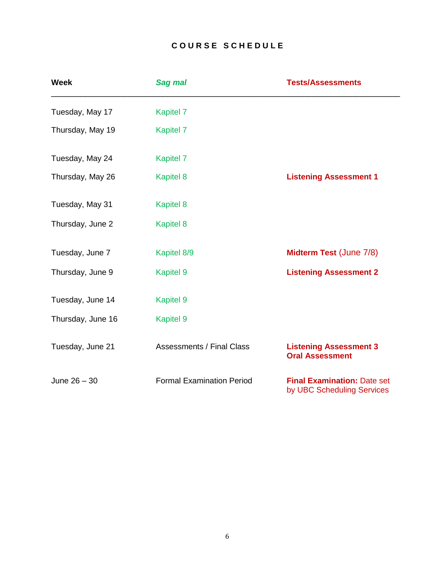### **C O U R S E S C H E D U L E**

| <b>Week</b>       | <b>Sag mal</b>                   | <b>Tests/Assessments</b>                                         |
|-------------------|----------------------------------|------------------------------------------------------------------|
| Tuesday, May 17   | <b>Kapitel 7</b>                 |                                                                  |
| Thursday, May 19  | <b>Kapitel 7</b>                 |                                                                  |
| Tuesday, May 24   | <b>Kapitel 7</b>                 |                                                                  |
| Thursday, May 26  | <b>Kapitel 8</b>                 | <b>Listening Assessment 1</b>                                    |
| Tuesday, May 31   | <b>Kapitel 8</b>                 |                                                                  |
| Thursday, June 2  | <b>Kapitel 8</b>                 |                                                                  |
| Tuesday, June 7   | Kapitel 8/9                      | <b>Midterm Test (June 7/8)</b>                                   |
| Thursday, June 9  | <b>Kapitel 9</b>                 | <b>Listening Assessment 2</b>                                    |
| Tuesday, June 14  | <b>Kapitel 9</b>                 |                                                                  |
| Thursday, June 16 | <b>Kapitel 9</b>                 |                                                                  |
| Tuesday, June 21  | <b>Assessments / Final Class</b> | <b>Listening Assessment 3</b><br><b>Oral Assessment</b>          |
| June $26 - 30$    | <b>Formal Examination Period</b> | <b>Final Examination: Date set</b><br>by UBC Scheduling Services |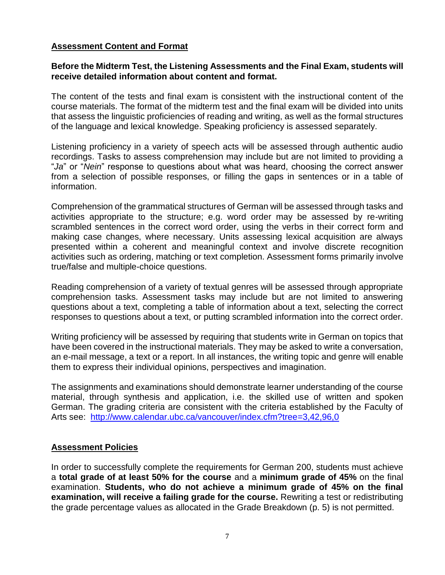#### **Assessment Content and Format**

#### **Before the Midterm Test, the Listening Assessments and the Final Exam, students will receive detailed information about content and format.**

The content of the tests and final exam is consistent with the instructional content of the course materials. The format of the midterm test and the final exam will be divided into units that assess the linguistic proficiencies of reading and writing, as well as the formal structures of the language and lexical knowledge. Speaking proficiency is assessed separately.

Listening proficiency in a variety of speech acts will be assessed through authentic audio recordings. Tasks to assess comprehension may include but are not limited to providing a "*Ja*" or "*Nein*" response to questions about what was heard, choosing the correct answer from a selection of possible responses, or filling the gaps in sentences or in a table of information.

Comprehension of the grammatical structures of German will be assessed through tasks and activities appropriate to the structure; e.g. word order may be assessed by re-writing scrambled sentences in the correct word order, using the verbs in their correct form and making case changes, where necessary. Units assessing lexical acquisition are always presented within a coherent and meaningful context and involve discrete recognition activities such as ordering, matching or text completion. Assessment forms primarily involve true/false and multiple-choice questions.

Reading comprehension of a variety of textual genres will be assessed through appropriate comprehension tasks. Assessment tasks may include but are not limited to answering questions about a text, completing a table of information about a text, selecting the correct responses to questions about a text, or putting scrambled information into the correct order.

Writing proficiency will be assessed by requiring that students write in German on topics that have been covered in the instructional materials. They may be asked to write a conversation, an e-mail message, a text or a report. In all instances, the writing topic and genre will enable them to express their individual opinions, perspectives and imagination.

The assignments and examinations should demonstrate learner understanding of the course material, through synthesis and application, i.e. the skilled use of written and spoken German. The grading criteria are consistent with the criteria established by the Faculty of Arts see: <http://www.calendar.ubc.ca/vancouver/index.cfm?tree=3,42,96,0>

#### **Assessment Policies**

In order to successfully complete the requirements for German 200, students must achieve a **total grade of at least 50% for the course** and a **minimum grade of 45%** on the final examination. **Students, who do not achieve a minimum grade of 45% on the final examination, will receive a failing grade for the course.** Rewriting a test or redistributing the grade percentage values as allocated in the Grade Breakdown (p. 5) is not permitted.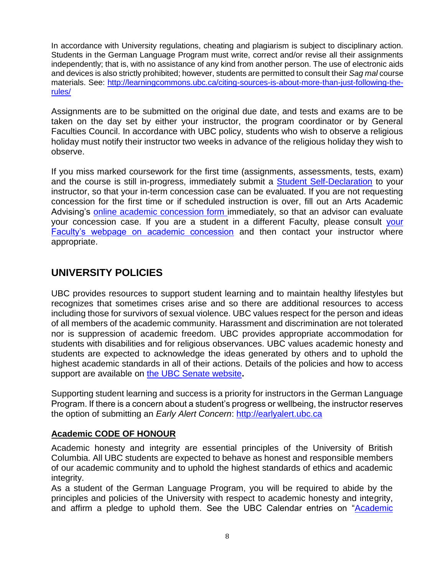In accordance with University regulations, cheating and plagiarism is subject to disciplinary action. Students in the German Language Program must write, correct and/or revise all their assignments independently; that is, with no assistance of any kind from another person. The use of electronic aids and devices is also strictly prohibited; however, students are permitted to consult their *Sag mal* course materials. See: [http://learningcommons.ubc.ca/citing-sources-is-about-more-than-just-following-the](http://learningcommons.ubc.ca/citing-sources-is-about-more-than-just-following-the-rules/)[rules/](http://learningcommons.ubc.ca/citing-sources-is-about-more-than-just-following-the-rules/)

Assignments are to be submitted on the original due date, and tests and exams are to be taken on the day set by either your instructor, the program coordinator or by General Faculties Council. In accordance with UBC policy, students who wish to observe a religious holiday must notify their instructor two weeks in advance of the religious holiday they wish to observe.

If you miss marked coursework for the first time (assignments, assessments, tests, exam) and the course is still in-progress, immediately submit a [Student Self-Declaration](https://students-2016.sites.olt.ubc.ca/files/2019/09/Student-Self-Declaration-Form-1.6-Arts.pdf) to your instructor, so that your in-term concession case can be evaluated. If you are not requesting concession for the first time or if scheduled instruction is over, fill out an Arts Academic Advising's [online academic concession form](https://students.air.arts.ubc.ca/academic-concession-form/) immediately, so that an advisor can evaluate your concession case. If you are a student in a different Faculty, please consult [your](https://students.ubc.ca/enrolment/academic-learning-resources/academic-concessions)  [Faculty's webpage on academic concession](https://students.ubc.ca/enrolment/academic-learning-resources/academic-concessions) and then contact your instructor where appropriate.

# **UNIVERSITY POLICIES**

UBC provides resources to support student learning and to maintain healthy lifestyles but recognizes that sometimes crises arise and so there are additional resources to access including those for survivors of sexual violence. UBC values respect for the person and ideas of all members of the academic community. Harassment and discrimination are not tolerated nor is suppression of academic freedom. UBC provides appropriate accommodation for students with disabilities and for religious observances. UBC values academic honesty and students are expected to acknowledge the ideas generated by others and to uphold the highest academic standards in all of their actions. Details of the policies and how to access support are available on [the UBC Senate website](https://senate.ubc.ca/policies-resources-support-student-success)**.**

Supporting student learning and success is a priority for instructors in the German Language Program. If there is a concern about a student's progress or wellbeing, the instructor reserves the option of submitting an *Early Alert Concern*: [http://earlyalert.ubc.ca](http://earlyalert.ubc.ca/)

### **Academic CODE OF HONOUR**

Academic honesty and integrity are essential principles of the University of British Columbia. All UBC students are expected to behave as honest and responsible members of our academic community and to uphold the highest standards of ethics and academic integrity.

As a student of the German Language Program, you will be required to abide by the principles and policies of the University with respect to academic honesty and integrity, and affirm a pledge to uphold them. See the UBC Calendar entries on ["Academic](http://www.calendar.ubc.ca/Vancouver/index.cfm?tree=3,286,0,0)